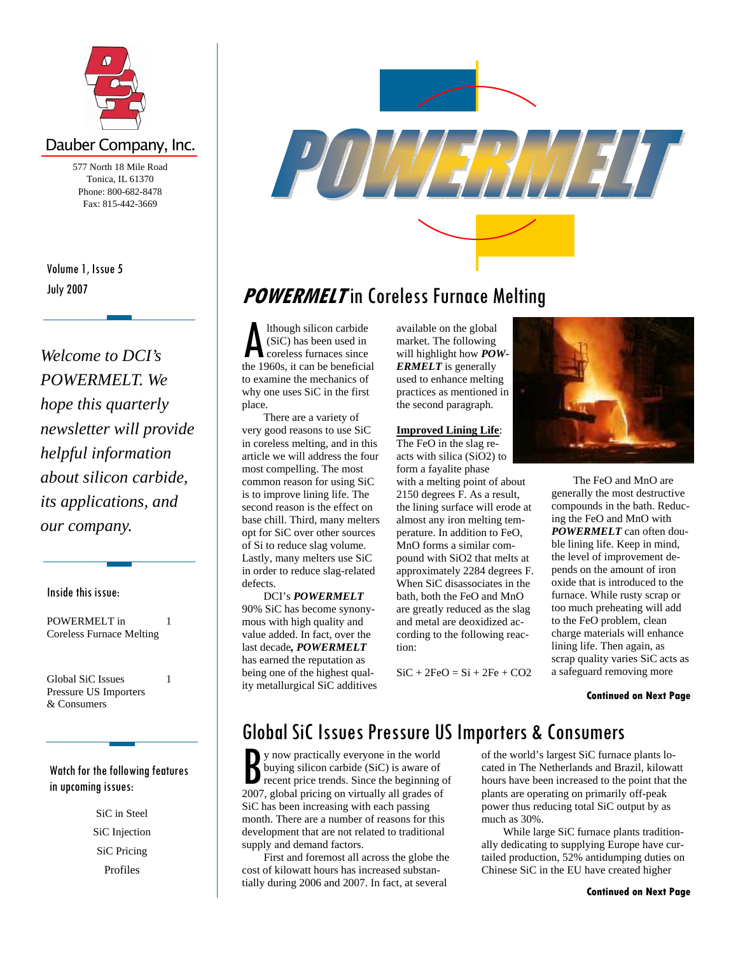

## Dauber Company, Inc.

577 North 18 Mile Road Tonica, IL 61370 Phone: 800-682-8478 Fax: 815-442-3669

July 2007 Volume 1, Issue 5

*Welcome to DCI's POWERMELT. We hope this quarterly newsletter will provide helpful information about silicon carbide, its applications, and our company.* 

### Inside this issue:

POWERMELT in Coreless Furnace Melting 1

Global SiC Issues Pressure US Importers & Consumers

1

### Watch for the following features in upcoming issues:

SiC in Steel SiC Injection SiC Pricing Profiles



# **POWERMELT** in Coreless Furnace Melting

A lthough silicon carbide<br>
(SiC) has been used in<br>
the 1960s, it can be beneficial (SiC) has been used in coreless furnaces since to examine the mechanics of why one uses SiC in the first place.

 There are a variety of very good reasons to use SiC in coreless melting, and in this article we will address the four most compelling. The most common reason for using SiC is to improve lining life. The second reason is the effect on base chill. Third, many melters opt for SiC over other sources of Si to reduce slag volume. Lastly, many melters use SiC in order to reduce slag-related defects.

 DCI's *POWERMELT* 90% SiC has become synonymous with high quality and value added. In fact, over the last decade*, POWERMELT* has earned the reputation as being one of the highest quality metallurgical SiC additives available on the global market. The following will highlight how *POW-ERMELT* is generally used to enhance melting practices as mentioned in the second paragraph.

#### **Improved Lining Life**:

The FeO in the slag reacts with silica (SiO2) to form a fayalite phase

with a melting point of about 2150 degrees F. As a result, the lining surface will erode at almost any iron melting temperature. In addition to FeO, MnO forms a similar compound with SiO2 that melts at approximately 2284 degrees F. When SiC disassociates in the bath, both the FeO and MnO are greatly reduced as the slag and metal are deoxidized according to the following reaction:

 $SiC + 2FeO = Si + 2Fe + CO2$ 



 The FeO and MnO are generally the most destructive compounds in the bath. Reducing the FeO and MnO with *POWERMELT* can often double lining life. Keep in mind, the level of improvement depends on the amount of iron oxide that is introduced to the furnace. While rusty scrap or too much preheating will add to the FeO problem, clean charge materials will enhance lining life. Then again, as scrap quality varies SiC acts as a safeguard removing more

### **Continued on Next Page**

# Global SiC Issues Pressure US Importers & Consumers

**B** y now practically everyone in the world<br>buying silicon carbide (SiC) is aware of<br>recent price trends. Since the beginning 2007. global pricing on virtually all grades of buying silicon carbide (SiC) is aware of recent price trends. Since the beginning of 2007, global pricing on virtually all grades of SiC has been increasing with each passing month. There are a number of reasons for this development that are not related to traditional supply and demand factors.

 First and foremost all across the globe the cost of kilowatt hours has increased substantially during 2006 and 2007. In fact, at several

of the world's largest SiC furnace plants located in The Netherlands and Brazil, kilowatt hours have been increased to the point that the plants are operating on primarily off-peak power thus reducing total SiC output by as much as 30%.

 While large SiC furnace plants traditionally dedicating to supplying Europe have curtailed production, 52% antidumping duties on Chinese SiC in the EU have created higher